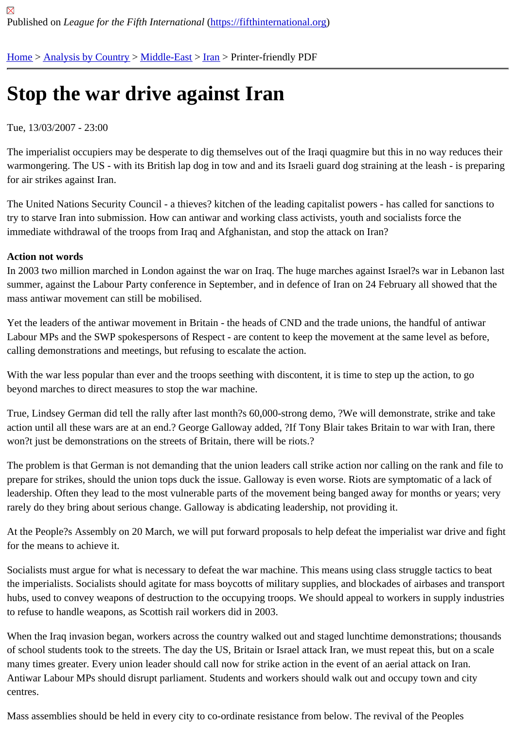## [Sto](https://fifthinternational.org/)[p the war](https://fifthinternational.org/category/1) [drive a](https://fifthinternational.org/category/1/178)[gain](https://fifthinternational.org/category/1/178/182)st Iran

## Tue, 13/03/2007 - 23:00

The imperialist occupiers may be desperate to dig themselves out of the Iraqi quagmire but this in no way reduces warmongering. The US - with its British lap dog in tow and and its Israeli guard dog straining at the leash - is prepa for air strikes against Iran.

The United Nations Security Council - a thieves? kitchen of the leading capitalist powers - has called for sanctions to try to starve Iran into submission. How can antiwar and working class activists, youth and socialists force the immediate withdrawal of the troops from Iraq and Afghanistan, and stop the attack on Iran?

## Action not words

In 2003 two million marched in London against the war on Iraq. The huge marches against Israel?s war in Lebano summer, against the Labour Party conference in September, and in defence of Iran on 24 February all showed tha mass antiwar movement can still be mobilised.

Yet the leaders of the antiwar movement in Britain - the heads of CND and the trade unions, the handful of antiwar Labour MPs and the SWP spokespersons of Respect - are content to keep the movement at the same level as be calling demonstrations and meetings, but refusing to escalate the action.

With the war less popular than ever and the troops seething with discontent, it is time to step up the action, to go beyond marches to direct measures to stop the war machine.

True, Lindsey German did tell the rally after last month?s 60,000-strong demo, ?We will demonstrate, strike and take action until all these wars are at an end.? George Galloway added, ?If Tony Blair takes Britain to war with Iran, the won?t just be demonstrations on the streets of Britain, there will be riots.?

The problem is that German is not demanding that the union leaders call strike action nor calling on the rank and f prepare for strikes, should the union tops duck the issue. Galloway is even worse. Riots are symptomatic of a lack leadership. Often they lead to the most vulnerable parts of the movement being banged away for months or years; rarely do they bring about serious change. Galloway is abdicating leadership, not providing it.

At the People?s Assembly on 20 March, we will put forward proposals to help defeat the imperialist war drive and for the means to achieve it.

Socialists must argue for what is necessary to defeat the war machine. This means using class struggle tactics to the imperialists. Socialists should agitate for mass boycotts of military supplies, and blockades of airbases and trai hubs, used to convey weapons of destruction to the occupying troops. We should appeal to workers in supply indu to refuse to handle weapons, as Scottish rail workers did in 2003.

When the Iraq invasion began, workers across the country walked out and staged lunchtime demonstrations; thou of school students took to the streets. The day the US, Britain or Israel attack Iran, we must repeat this, but on a se many times greater. Every union leader should call now for strike action in the event of an aerial attack on Iran. Antiwar Labour MPs should disrupt parliament. Students and workers should walk out and occupy town and city centres.

Mass assemblies should be held in every city to co-ordinate resistance from below. The revival of the Peoples